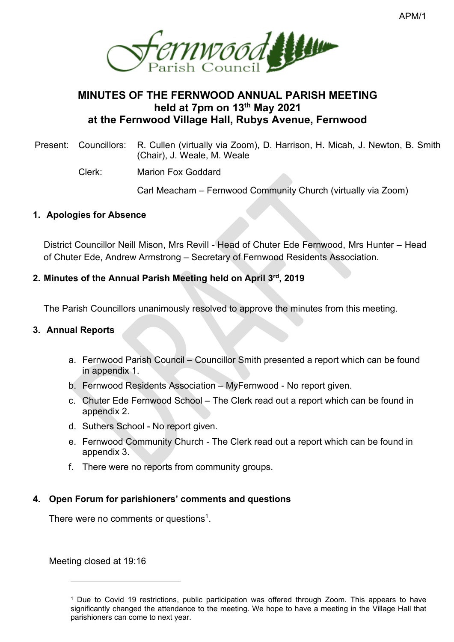

# **MINUTES OF THE FERNWOOD ANNUAL PARISH MEETING held at 7pm on 13 th May 2021 at the Fernwood Village Hall, Rubys Avenue, Fernwood**

Present: Councillors: R. Cullen (virtually via Zoom), D. Harrison, H. Micah, J. Newton, B. Smith (Chair), J. Weale, M. Weale

Clerk: Marion Fox Goddard

Carl Meacham – Fernwood Community Church (virtually via Zoom)

## **1. Apologies for Absence**

District Councillor Neill Mison, Mrs Revill - Head of Chuter Ede Fernwood, Mrs Hunter – Head of Chuter Ede, Andrew Armstrong – Secretary of Fernwood Residents Association.

# **2. Minutes of the Annual Parish Meeting held on April 3rd, 2019**

The Parish Councillors unanimously resolved to approve the minutes from this meeting.

# **3. Annual Reports**

- a. Fernwood Parish Council Councillor Smith presented a report which can be found in appendix 1.
- b. Fernwood Residents Association MyFernwood No report given.
- c. Chuter Ede Fernwood School The Clerk read out a report which can be found in appendix 2.
- d. Suthers School No report given.
- e. Fernwood Community Church The Clerk read out a report which can be found in appendix 3.
- f. There were no reports from community groups.

# **4. Open Forum for parishioners' comments and questions**

There were no comments or questions<sup>1</sup>.

Meeting closed at 19:16

<sup>&</sup>lt;sup>1</sup> Due to Covid 19 restrictions, public participation was offered through Zoom. This appears to have significantly changed the attendance to the meeting. We hope to have a meeting in the Village Hall that parishioners can come to next year.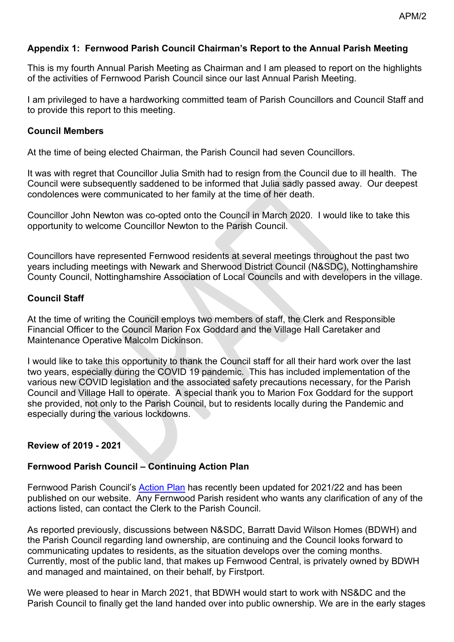## **Appendix 1: Fernwood Parish Council Chairman's Report to the Annual Parish Meeting**

This is my fourth Annual Parish Meeting as Chairman and I am pleased to report on the highlights of the activities of Fernwood Parish Council since our last Annual Parish Meeting.

I am privileged to have a hardworking committed team of Parish Councillors and Council Staff and to provide this report to this meeting.

#### **Council Members**

At the time of being elected Chairman, the Parish Council had seven Councillors.

It was with regret that Councillor Julia Smith had to resign from the Council due to ill health. The Council were subsequently saddened to be informed that Julia sadly passed away. Our deepest condolences were communicated to her family at the time of her death.

Councillor John Newton was co-opted onto the Council in March 2020. I would like to take this opportunity to welcome Councillor Newton to the Parish Council.

Councillors have represented Fernwood residents at several meetings throughout the past two years including meetings with Newark and Sherwood District Council (N&SDC), Nottinghamshire County Council, Nottinghamshire Association of Local Councils and with developers in the village.

#### **Council Staff**

At the time of writing the Council employs two members of staff, the Clerk and Responsible Financial Officer to the Council Marion Fox Goddard and the Village Hall Caretaker and Maintenance Operative Malcolm Dickinson.

I would like to take this opportunity to thank the Council staff for all their hard work over the last two years, especially during the COVID 19 pandemic. This has included implementation of the various new COVID legislation and the associated safety precautions necessary, for the Parish Council and Village Hall to operate. A special thank you to Marion Fox Goddard for the support she provided, not only to the Parish Council, but to residents locally during the Pandemic and especially during the various lockdowns.

## **Review of 2019 - 2021**

## **Fernwood Parish Council – Continuing Action Plan**

Fernwood Parish Council's [Action](http://www.fernwood-pc.co.uk/shared/attachments.asp?f=bd8ac325%2D5e75%2D4714%2D9df9%2D4dcc3438a805%2Epdf&o=Action%2DPlan%2D2021%2D22%2Epdf) Plan has recently been updated for 2021/22 and has been published on our website. Any Fernwood Parish resident who wants any clarification of any of the actions listed, can contact the Clerk to the Parish Council.

As reported previously, discussions between N&SDC, Barratt David Wilson Homes (BDWH) and the Parish Council regarding land ownership, are continuing and the Council looks forward to communicating updates to residents, as the situation develops over the coming months. Currently, most of the public land, that makes up Fernwood Central, is privately owned by BDWH and managed and maintained, on their behalf, by Firstport.

We were pleased to hear in March 2021, that BDWH would start to work with NS&DC and the Parish Council to finally get the land handed over into public ownership. We are in the early stages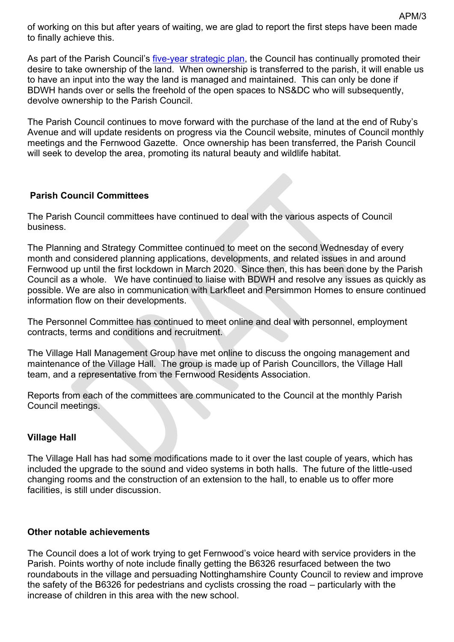of working on this but after years of waiting, we are glad to report the first steps have been made to finally achieve this.

As part of the Parish Council's [five-year strategic plan,](http://www.fernwood-pc.co.uk/shared/attachments.asp?f=3412dfde%2D5292%2D4158%2D9f25%2D08119e7ed0ed%2Epdf&o=Fernwood%2DParish%2DCouncil%2DStrategic%2DPlan%2Epdf) the Council has continually promoted their desire to take ownership of the land. When ownership is transferred to the parish, it will enable us to have an input into the way the land is managed and maintained. This can only be done if BDWH hands over or sells the freehold of the open spaces to NS&DC who will subsequently, devolve ownership to the Parish Council.

The Parish Council continues to move forward with the purchase of the land at the end of Ruby's Avenue and will update residents on progress via the Council website, minutes of Council monthly meetings and the Fernwood Gazette. Once ownership has been transferred, the Parish Council will seek to develop the area, promoting its natural beauty and wildlife habitat.

## **Parish Council Committees**

The Parish Council committees have continued to deal with the various aspects of Council business.

The Planning and Strategy Committee continued to meet on the second Wednesday of every month and considered planning applications, developments, and related issues in and around Fernwood up until the first lockdown in March 2020. Since then, this has been done by the Parish Council as a whole. We have continued to liaise with BDWH and resolve any issues as quickly as possible. We are also in communication with Larkfleet and Persimmon Homes to ensure continued information flow on their developments.

The Personnel Committee has continued to meet online and deal with personnel, employment contracts, terms and conditions and recruitment.

The Village Hall Management Group have met online to discuss the ongoing management and maintenance of the Village Hall. The group is made up of Parish Councillors, the Village Hall team, and a representative from the Fernwood Residents Association.

Reports from each of the committees are communicated to the Council at the monthly Parish Council meetings.

## **Village Hall**

The Village Hall has had some modifications made to it over the last couple of years, which has included the upgrade to the sound and video systems in both halls. The future of the little-used changing rooms and the construction of an extension to the hall, to enable us to offer more facilities, is still under discussion.

## **Other notable achievements**

The Council does a lot of work trying to get Fernwood's voice heard with service providers in the Parish. Points worthy of note include finally getting the B6326 resurfaced between the two roundabouts in the village and persuading Nottinghamshire County Council to review and improve the safety of the B6326 for pedestrians and cyclists crossing the road – particularly with the increase of children in this area with the new school.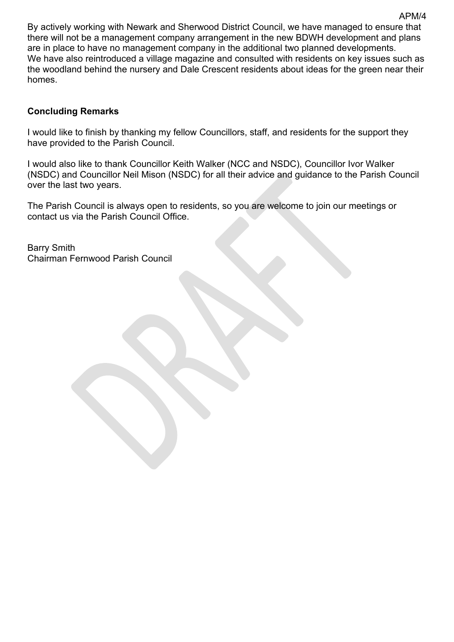By actively working with Newark and Sherwood District Council, we have managed to ensure that there will not be a management company arrangement in the new BDWH development and plans are in place to have no management company in the additional two planned developments. We have also reintroduced a village magazine and consulted with residents on key issues such as the woodland behind the nursery and Dale Crescent residents about ideas for the green near their homes.

#### **Concluding Remarks**

I would like to finish by thanking my fellow Councillors, staff, and residents for the support they have provided to the Parish Council.

I would also like to thank Councillor Keith Walker (NCC and NSDC), Councillor Ivor Walker (NSDC) and Councillor Neil Mison (NSDC) for all their advice and guidance to the Parish Council over the last two years.

The Parish Council is always open to residents, so you are welcome to join our meetings or contact us via the Parish Council Office.

Barry Smith Chairman Fernwood Parish Council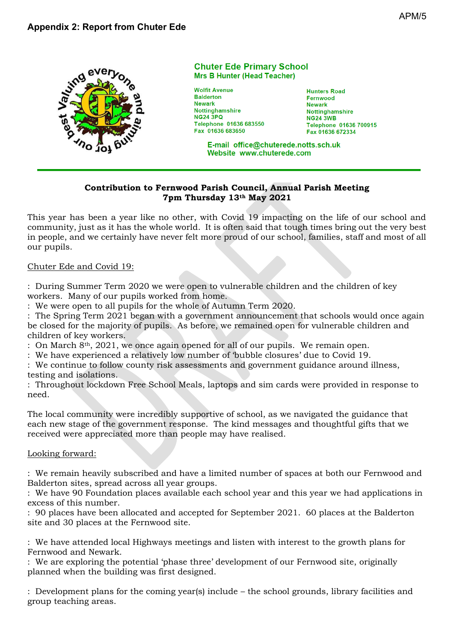

#### **Chuter Ede Primary School Mrs B Hunter (Head Teacher)**

**Wolfit Avenue Balderton Newark** Nottinghamshire **NG24 3PQ** Telephone 01636 683550 Fax 01636 683650

**Hunters Road** Fernwood **Newark** Nottinghamshire **NG24 3WB** Telephone 01636 700915 Fax 01636 672334

E-mail office@chuterede.notts.sch.uk Website www.chuterede.com

#### **Contribution to Fernwood Parish Council, Annual Parish Meeting 7pm Thursday 13th May 2021**

This year has been a year like no other, with Covid 19 impacting on the life of our school and community, just as it has the whole world. It is often said that tough times bring out the very best in people, and we certainly have never felt more proud of our school, families, staff and most of all our pupils.

#### Chuter Ede and Covid 19:

: During Summer Term 2020 we were open to vulnerable children and the children of key workers. Many of our pupils worked from home.

: We were open to all pupils for the whole of Autumn Term 2020.

: The Spring Term 2021 began with a government announcement that schools would once again be closed for the majority of pupils. As before, we remained open for vulnerable children and children of key workers.

: On March 8th, 2021, we once again opened for all of our pupils. We remain open.

: We have experienced a relatively low number of 'bubble closures' due to Covid 19.

: We continue to follow county risk assessments and government guidance around illness, testing and isolations.

: Throughout lockdown Free School Meals, laptops and sim cards were provided in response to need.

The local community were incredibly supportive of school, as we navigated the guidance that each new stage of the government response. The kind messages and thoughtful gifts that we received were appreciated more than people may have realised.

#### Looking forward:

: We remain heavily subscribed and have a limited number of spaces at both our Fernwood and Balderton sites, spread across all year groups.

: We have 90 Foundation places available each school year and this year we had applications in excess of this number.

: 90 places have been allocated and accepted for September 2021. 60 places at the Balderton site and 30 places at the Fernwood site.

: We have attended local Highways meetings and listen with interest to the growth plans for Fernwood and Newark.

: We are exploring the potential 'phase three' development of our Fernwood site, originally planned when the building was first designed.

: Development plans for the coming year(s) include – the school grounds, library facilities and group teaching areas.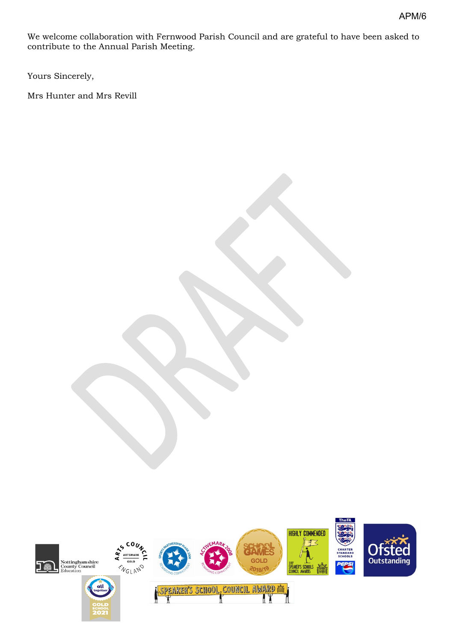We welcome collaboration with Fernwood Parish Council and are grateful to have been asked to contribute to the Annual Parish Meeting.

Yours Sincerely,

Mrs Hunter and Mrs Revill